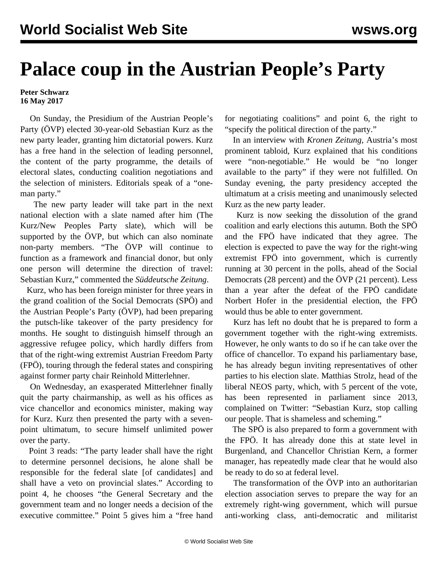## **Palace coup in the Austrian People's Party**

**Peter Schwarz 16 May 2017**

 On Sunday, the Presidium of the Austrian People's Party (ÖVP) elected 30-year-old Sebastian Kurz as the new party leader, granting him dictatorial powers. Kurz has a free hand in the selection of leading personnel, the content of the party programme, the details of electoral slates, conducting coalition negotiations and the selection of ministers. Editorials speak of a "oneman party."

 The new party leader will take part in the next national election with a slate named after him (The Kurz/New Peoples Party slate), which will be supported by the ÖVP, but which can also nominate non-party members. "The ÖVP will continue to function as a framework and financial donor, but only one person will determine the direction of travel: Sebastian Kurz," commented the *Süddeutsche Zeitung*.

 Kurz, who has been foreign minister for three years in the grand coalition of the Social Democrats (SPÖ) and the Austrian People's Party (ÖVP), had been preparing the putsch-like takeover of the party presidency for months. He sought to distinguish himself through an aggressive refugee policy, which hardly differs from that of the right-wing extremist Austrian Freedom Party (FPÖ), touring through the federal states and conspiring against former party chair Reinhold Mitterlehner.

 On Wednesday, an exasperated Mitterlehner finally quit the party chairmanship, as well as his offices as vice chancellor and economics minister, making way for Kurz. Kurz then presented the party with a sevenpoint ultimatum, to secure himself unlimited power over the party.

 Point 3 reads: "The party leader shall have the right to determine personnel decisions, he alone shall be responsible for the federal slate [of candidates] and shall have a veto on provincial slates." According to point 4, he chooses "the General Secretary and the government team and no longer needs a decision of the executive committee." Point 5 gives him a "free hand for negotiating coalitions" and point 6, the right to "specify the political direction of the party."

 In an interview with *Kronen Zeitung*, Austria's most prominent tabloid, Kurz explained that his conditions were "non-negotiable." He would be "no longer available to the party" if they were not fulfilled. On Sunday evening, the party presidency accepted the ultimatum at a crisis meeting and unanimously selected Kurz as the new party leader.

 Kurz is now seeking the dissolution of the grand coalition and early elections this autumn. Both the SPÖ and the FPÖ have indicated that they agree. The election is expected to pave the way for the right-wing extremist FPÖ into government, which is currently running at 30 percent in the polls, ahead of the Social Democrats (28 percent) and the ÖVP (21 percent). Less than a year after the defeat of the FPÖ candidate Norbert Hofer in the [presidential election,](/en/articles/2016/12/05/aust-d05.html) the FPÖ would thus be able to enter government.

 Kurz has left no doubt that he is prepared to form a government together with the right-wing extremists. However, he only wants to do so if he can take over the office of chancellor. To expand his parliamentary base, he has already begun inviting representatives of other parties to his election slate. Matthias Strolz, head of the liberal NEOS party, which, with 5 percent of the vote, has been represented in parliament since 2013, complained on Twitter: "Sebastian Kurz, stop calling our people. That is shameless and scheming."

 The SPÖ is also prepared to form a government with the FPÖ. It has already done this at state level in Burgenland, and Chancellor Christian Kern, a former manager, has repeatedly made clear that he would also be ready to do so at federal level.

 The transformation of the ÖVP into an authoritarian election association serves to prepare the way for an extremely right-wing government, which will pursue anti-working class, anti-democratic and militarist